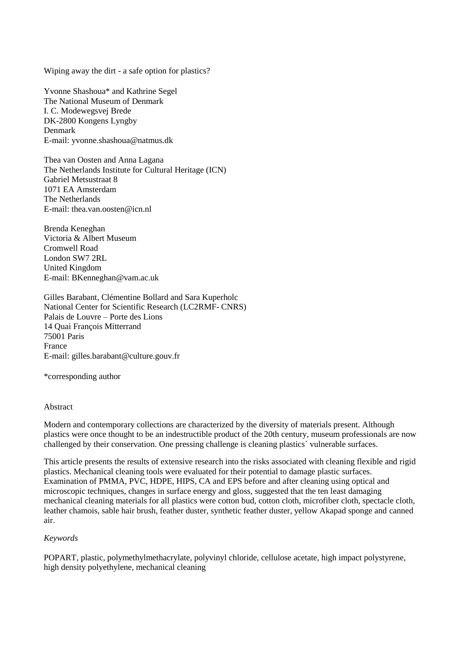Wiping away the dirt - a safe option for plastics?

Yvonne Shashoua\* and Kathrine Segel The National Museum of Denmark I. C. Modewegsvej Brede DK-2800 Kongens Lyngby Denmark E-mail: [yvonne.shashoua@natmus.dk](mailto:yvonne.shashoua@natmus.dk)

Thea van Oosten and Anna Lagana The Netherlands Institute for Cultural Heritage (ICN) Gabriel Metsustraat 8 1071 EA Amsterdam The Netherlands E-mail: thea.van.oosten@icn.nl.

Brenda Keneghan Victoria & Albert Museum Cromwell Road London SW7 2RL United Kingdom E-mail: [BKenneghan@vam.ac.uk](mailto:BKenneghan@vam.ac.uk)

Gilles Barabant, Clémentine Bollard and Sara Kuperholc National Center for Scientific Research (LC2RMF- CNRS) Palais de Louvre – Porte des Lions 14 Quai François Mitterrand 75001 Paris France E-mail: gilles.barabant@culture.gouv.fr

\*corresponding author

#### Abstract

Modern and contemporary collections are characterized by the diversity of materials present. Although plastics were once thought to be an indestructible product of the 20th century, museum professionals are now challenged by their conservation. One pressing challenge is cleaning plastics´ vulnerable surfaces.

This article presents the results of extensive research into the risks associated with cleaning flexible and rigid plastics. Mechanical cleaning tools were evaluated for their potential to damage plastic surfaces. Examination of PMMA, PVC, HDPE, HIPS, CA and EPS before and after cleaning using optical and microscopic techniques, changes in surface energy and gloss, suggested that the ten least damaging mechanical cleaning materials for all plastics were cotton bud, cotton cloth, microfiber cloth, spectacle cloth, leather chamois, sable hair brush, feather duster, synthetic feather duster, yellow Akapad sponge and canned air.

#### *Keywords*

POPART, plastic, polymethylmethacrylate, polyvinyl chloride, cellulose acetate, high impact polystyrene, high density polyethylene, mechanical cleaning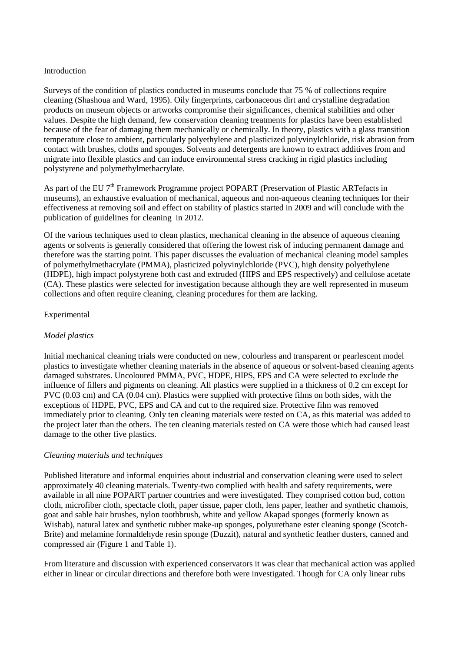## Introduction

Surveys of the condition of plastics conducted in museums conclude that 75 % of collections require cleaning (Shashoua and Ward, 1995). Oily fingerprints, carbonaceous dirt and crystalline degradation products on museum objects or artworks compromise their significances, chemical stabilities and other values. Despite the high demand, few conservation cleaning treatments for plastics have been established because of the fear of damaging them mechanically or chemically. In theory, plastics with a glass transition temperature close to ambient, particularly polyethylene and plasticized polyvinylchloride, risk abrasion from contact with brushes, cloths and sponges. Solvents and detergents are known to extract additives from and migrate into flexible plastics and can induce environmental stress cracking in rigid plastics including polystyrene and polymethylmethacrylate.

As part of the EU 7<sup>th</sup> Framework Programme project POPART (Preservation of Plastic ARTefacts in museums), an exhaustive evaluation of mechanical, aqueous and non-aqueous cleaning techniques for their effectiveness at removing soil and effect on stability of plastics started in 2009 and will conclude with the publication of guidelines for cleaning in 2012.

Of the various techniques used to clean plastics, mechanical cleaning in the absence of aqueous cleaning agents or solvents is generally considered that offering the lowest risk of inducing permanent damage and therefore was the starting point. This paper discusses the evaluation of mechanical cleaning model samples of polymethylmethacrylate (PMMA), plasticized polyvinylchloride (PVC), high density polyethylene (HDPE), high impact polystyrene both cast and extruded (HIPS and EPS respectively) and cellulose acetate (CA). These plastics were selected for investigation because although they are well represented in museum collections and often require cleaning, cleaning procedures for them are lacking.

## Experimental

## *Model plastics*

Initial mechanical cleaning trials were conducted on new, colourless and transparent or pearlescent model plastics to investigate whether cleaning materials in the absence of aqueous or solvent-based cleaning agents damaged substrates. Uncoloured PMMA, PVC, HDPE, HIPS, EPS and CA were selected to exclude the influence of fillers and pigments on cleaning. All plastics were supplied in a thickness of 0.2 cm except for PVC (0.03 cm) and CA (0.04 cm). Plastics were supplied with protective films on both sides, with the exceptions of HDPE, PVC, EPS and CA and cut to the required size. Protective film was removed immediately prior to cleaning. Only ten cleaning materials were tested on CA, as this material was added to the project later than the others. The ten cleaning materials tested on CA were those which had caused least damage to the other five plastics.

#### *Cleaning materials and techniques*

Published literature and informal enquiries about industrial and conservation cleaning were used to select approximately 40 cleaning materials. Twenty-two complied with health and safety requirements, were available in all nine POPART partner countries and were investigated. They comprised cotton bud, cotton cloth, microfiber cloth, spectacle cloth, paper tissue, paper cloth, lens paper, leather and synthetic chamois, goat and sable hair brushes, nylon toothbrush, white and yellow Akapad sponges (formerly known as Wishab), natural latex and synthetic rubber make-up sponges, polyurethane ester cleaning sponge (Scotch-Brite) and melamine formaldehyde resin sponge (Duzzit), natural and synthetic feather dusters, canned and compressed air (Figure 1 and Table 1).

From literature and discussion with experienced conservators it was clear that mechanical action was applied either in linear or circular directions and therefore both were investigated. Though for CA only linear rubs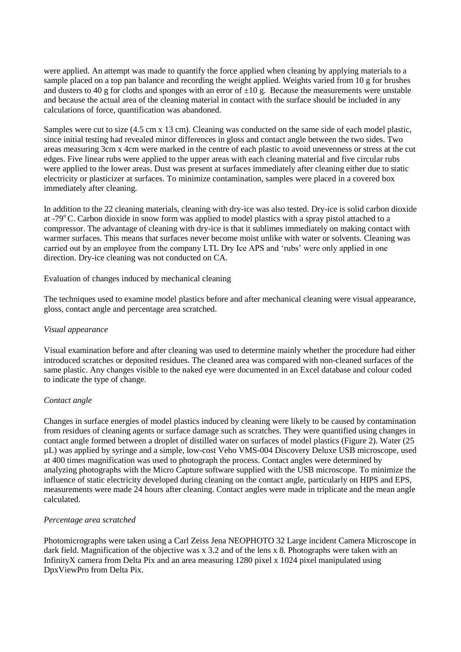were applied. An attempt was made to quantify the force applied when cleaning by applying materials to a sample placed on a top pan balance and recording the weight applied. Weights varied from 10 g for brushes and dusters to 40 g for cloths and sponges with an error of  $\pm 10$  g. Because the measurements were unstable and because the actual area of the cleaning material in contact with the surface should be included in any calculations of force, quantification was abandoned.

Samples were cut to size (4.5 cm x 13 cm). Cleaning was conducted on the same side of each model plastic, since initial testing had revealed minor differences in gloss and contact angle between the two sides. Two areas measuring 3cm x 4cm were marked in the centre of each plastic to avoid unevenness or stress at the cut edges. Five linear rubs were applied to the upper areas with each cleaning material and five circular rubs were applied to the lower areas. Dust was present at surfaces immediately after cleaning either due to static electricity or plasticizer at surfaces. To minimize contamination, samples were placed in a covered box immediately after cleaning.

In addition to the 22 cleaning materials, cleaning with dry-ice was also tested. Dry-ice is solid carbon dioxide at -79 $\degree$ C. Carbon dioxide in snow form was applied to model plastics with a spray pistol attached to a compressor. The advantage of cleaning with dry-ice is that it sublimes immediately on making contact with warmer surfaces. This means that surfaces never become moist unlike with water or solvents. Cleaning was carried out by an employee from the company LTL Dry Ice APS and 'rubs' were only applied in one direction. Dry-ice cleaning was not conducted on CA.

Evaluation of changes induced by mechanical cleaning

The techniques used to examine model plastics before and after mechanical cleaning were visual appearance, gloss, contact angle and percentage area scratched.

## *Visual appearance*

Visual examination before and after cleaning was used to determine mainly whether the procedure had either introduced scratches or deposited residues. The cleaned area was compared with non-cleaned surfaces of the same plastic. Any changes visible to the naked eye were documented in an Excel database and colour coded to indicate the type of change.

## *Contact angle*

Changes in surface energies of model plastics induced by cleaning were likely to be caused by contamination from residues of cleaning agents or surface damage such as scratches. They were quantified using changes in contact angle formed between a droplet of distilled water on surfaces of model plastics (Figure 2). Water (25 µL) was applied by syringe and a simple, low-cost Veho VMS-004 Discovery Deluxe USB microscope, used at 400 times magnification was used to photograph the process. Contact angles were determined by analyzing photographs with the Micro Capture software supplied with the USB microscope. To minimize the influence of static electricity developed during cleaning on the contact angle, particularly on HIPS and EPS, measurements were made 24 hours after cleaning. Contact angles were made in triplicate and the mean angle calculated.

## *Percentage area scratched*

Photomicrographs were taken using a Carl Zeiss Jena NEOPHOTO 32 Large incident Camera Microscope in dark field. Magnification of the objective was x 3.2 and of the lens x 8. Photographs were taken with an InfinityX camera from Delta Pix and an area measuring 1280 pixel x 1024 pixel manipulated using DpxViewPro from Delta Pix.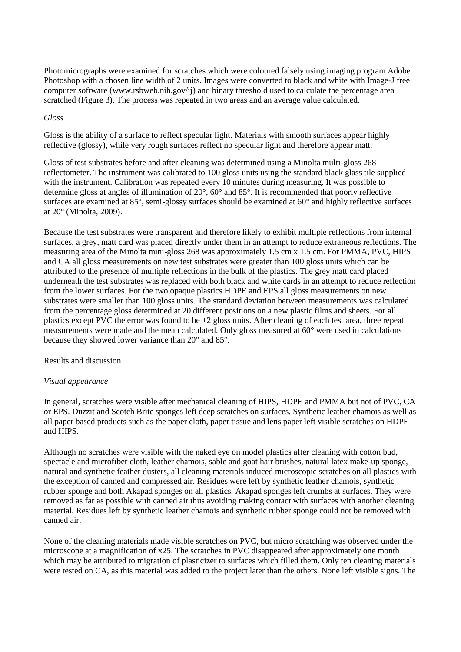Photomicrographs were examined for scratches which were coloured falsely using imaging program Adobe Photoshop with a chosen line width of 2 units. Images were converted to black and white with Image-J free computer software (www.rsbweb.nih.gov/ij) and binary threshold used to calculate the percentage area scratched (Figure 3). The process was repeated in two areas and an average value calculated.

## *Gloss*

Gloss is the ability of a surface to reflect specular light. Materials with smooth surfaces appear highly reflective (glossy), while very rough surfaces reflect no specular light and therefore appear matt.

Gloss of test substrates before and after cleaning was determined using a Minolta multi-gloss 268 reflectometer. The instrument was calibrated to 100 gloss units using the standard black glass tile supplied with the instrument. Calibration was repeated every 10 minutes during measuring. It was possible to determine gloss at angles of illumination of 20°, 60° and 85°. It is recommended that poorly reflective surfaces are examined at 85°, semi-glossy surfaces should be examined at 60° and highly reflective surfaces at 20° (Minolta, 2009).

Because the test substrates were transparent and therefore likely to exhibit multiple reflections from internal surfaces, a grey, matt card was placed directly under them in an attempt to reduce extraneous reflections. The measuring area of the Minolta mini-gloss 268 was approximately 1.5 cm x 1.5 cm. For PMMA, PVC, HIPS and CA all gloss measurements on new test substrates were greater than 100 gloss units which can be attributed to the presence of multiple reflections in the bulk of the plastics. The grey matt card placed underneath the test substrates was replaced with both black and white cards in an attempt to reduce reflection from the lower surfaces. For the two opaque plastics HDPE and EPS all gloss measurements on new substrates were smaller than 100 gloss units. The standard deviation between measurements was calculated from the percentage gloss determined at 20 different positions on a new plastic films and sheets. For all plastics except PVC the error was found to be  $\pm 2$  gloss units. After cleaning of each test area, three repeat measurements were made and the mean calculated. Only gloss measured at 60° were used in calculations because they showed lower variance than 20° and 85°.

#### Results and discussion

## *Visual appearance*

In general, scratches were visible after mechanical cleaning of HIPS, HDPE and PMMA but not of PVC, CA or EPS. Duzzit and Scotch Brite sponges left deep scratches on surfaces. Synthetic leather chamois as well as all paper based products such as the paper cloth, paper tissue and lens paper left visible scratches on HDPE and HIPS.

Although no scratches were visible with the naked eye on model plastics after cleaning with cotton bud, spectacle and microfiber cloth, leather chamois, sable and goat hair brushes, natural latex make-up sponge, natural and synthetic feather dusters, all cleaning materials induced microscopic scratches on all plastics with the exception of canned and compressed air. Residues were left by synthetic leather chamois, synthetic rubber sponge and both Akapad sponges on all plastics. Akapad sponges left crumbs at surfaces. They were removed as far as possible with canned air thus avoiding making contact with surfaces with another cleaning material. Residues left by synthetic leather chamois and synthetic rubber sponge could not be removed with canned air.

None of the cleaning materials made visible scratches on PVC, but micro scratching was observed under the microscope at a magnification of x25. The scratches in PVC disappeared after approximately one month which may be attributed to migration of plasticizer to surfaces which filled them. Only ten cleaning materials were tested on CA, as this material was added to the project later than the others. None left visible signs. The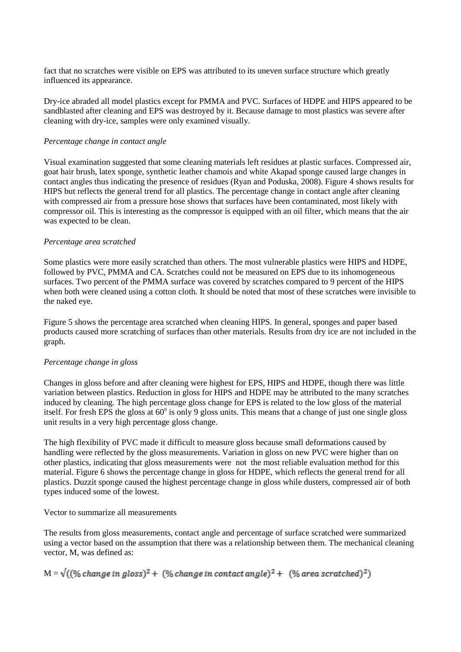fact that no scratches were visible on EPS was attributed to its uneven surface structure which greatly influenced its appearance.

Dry-ice abraded all model plastics except for PMMA and PVC. Surfaces of HDPE and HIPS appeared to be sandblasted after cleaning and EPS was destroyed by it. Because damage to most plastics was severe after cleaning with dry-ice, samples were only examined visually.

#### *Percentage change in contact angle*

Visual examination suggested that some cleaning materials left residues at plastic surfaces. Compressed air, goat hair brush, latex sponge, synthetic leather chamois and white Akapad sponge caused large changes in contact angles thus indicating the presence of residues (Ryan and Poduska, 2008). Figure 4 shows results for HIPS but reflects the general trend for all plastics. The percentage change in contact angle after cleaning with compressed air from a pressure hose shows that surfaces have been contaminated, most likely with compressor oil. This is interesting as the compressor is equipped with an oil filter, which means that the air was expected to be clean.

#### *Percentage area scratched*

Some plastics were more easily scratched than others. The most vulnerable plastics were HIPS and HDPE, followed by PVC, PMMA and CA. Scratches could not be measured on EPS due to its inhomogeneous surfaces. Two percent of the PMMA surface was covered by scratches compared to 9 percent of the HIPS when both were cleaned using a cotton cloth. It should be noted that most of these scratches were invisible to the naked eye.

Figure 5 shows the percentage area scratched when cleaning HIPS. In general, sponges and paper based products caused more scratching of surfaces than other materials. Results from dry ice are not included in the graph.

## *Percentage change in gloss*

Changes in gloss before and after cleaning were highest for EPS, HIPS and HDPE, though there was little variation between plastics. Reduction in gloss for HIPS and HDPE may be attributed to the many scratches induced by cleaning. The high percentage gloss change for EPS is related to the low gloss of the material itself. For fresh EPS the gloss at  $60^\circ$  is only 9 gloss units. This means that a change of just one single gloss unit results in a very high percentage gloss change.

The high flexibility of PVC made it difficult to measure gloss because small deformations caused by handling were reflected by the gloss measurements. Variation in gloss on new PVC were higher than on other plastics, indicating that gloss measurements were not the most reliable evaluation method for this material. Figure 6 shows the percentage change in gloss for HDPE, which reflects the general trend for all plastics. Duzzit sponge caused the highest percentage change in gloss while dusters, compressed air of both types induced some of the lowest.

## Vector to summarize all measurements

The results from gloss measurements, contact angle and percentage of surface scratched were summarized using a vector based on the assumption that there was a relationship between them. The mechanical cleaning vector, M, was defined as:

# $M = \sqrt{((\% change in gloss)^2 + (\% change in contact angle)^2 + (\% area sorted)^2)}$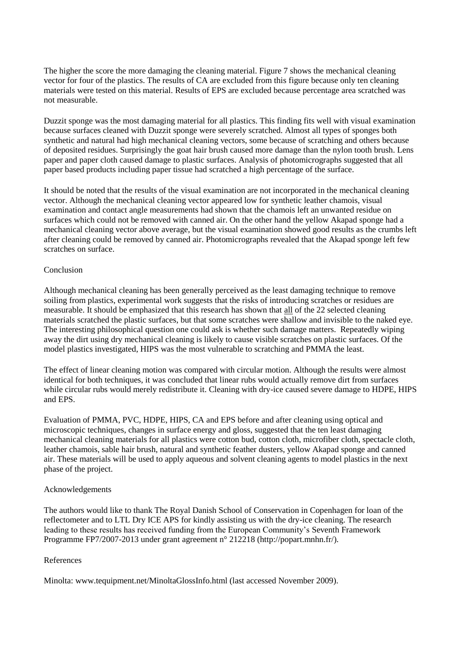The higher the score the more damaging the cleaning material. Figure 7 shows the mechanical cleaning vector for four of the plastics. The results of CA are excluded from this figure because only ten cleaning materials were tested on this material. Results of EPS are excluded because percentage area scratched was not measurable.

Duzzit sponge was the most damaging material for all plastics. This finding fits well with visual examination because surfaces cleaned with Duzzit sponge were severely scratched. Almost all types of sponges both synthetic and natural had high mechanical cleaning vectors, some because of scratching and others because of deposited residues. Surprisingly the goat hair brush caused more damage than the nylon tooth brush. Lens paper and paper cloth caused damage to plastic surfaces. Analysis of photomicrographs suggested that all paper based products including paper tissue had scratched a high percentage of the surface.

It should be noted that the results of the visual examination are not incorporated in the mechanical cleaning vector. Although the mechanical cleaning vector appeared low for synthetic leather chamois, visual examination and contact angle measurements had shown that the chamois left an unwanted residue on surfaces which could not be removed with canned air. On the other hand the yellow Akapad sponge had a mechanical cleaning vector above average, but the visual examination showed good results as the crumbs left after cleaning could be removed by canned air. Photomicrographs revealed that the Akapad sponge left few scratches on surface.

## Conclusion

Although mechanical cleaning has been generally perceived as the least damaging technique to remove soiling from plastics, experimental work suggests that the risks of introducing scratches or residues are measurable. It should be emphasized that this research has shown that all of the 22 selected cleaning materials scratched the plastic surfaces, but that some scratches were shallow and invisible to the naked eye. The interesting philosophical question one could ask is whether such damage matters. Repeatedly wiping away the dirt using dry mechanical cleaning is likely to cause visible scratches on plastic surfaces. Of the model plastics investigated, HIPS was the most vulnerable to scratching and PMMA the least.

The effect of linear cleaning motion was compared with circular motion. Although the results were almost identical for both techniques, it was concluded that linear rubs would actually remove dirt from surfaces while circular rubs would merely redistribute it. Cleaning with dry-ice caused severe damage to HDPE, HIPS and EPS.

Evaluation of PMMA, PVC, HDPE, HIPS, CA and EPS before and after cleaning using optical and microscopic techniques, changes in surface energy and gloss, suggested that the ten least damaging mechanical cleaning materials for all plastics were cotton bud, cotton cloth, microfiber cloth, spectacle cloth, leather chamois, sable hair brush, natural and synthetic feather dusters, yellow Akapad sponge and canned air. These materials will be used to apply aqueous and solvent cleaning agents to model plastics in the next phase of the project.

## Acknowledgements

The authors would like to thank The Royal Danish School of Conservation in Copenhagen for loan of the reflectometer and to LTL Dry ICE APS for kindly assisting us with the dry-ice cleaning. The research leading to these results has received funding from the European Community's Seventh Framework Programme FP7/2007-2013 under grant agreement n° 212218 [\(http://popart.mnhn.fr/\)](http://popart.mnhn.fr/).

## References

Minolta: [www.tequipment.net/MinoltaGlossInfo.html](http://www.tequipment.net/MinoltaGlossInfo.html) (last accessed November 2009).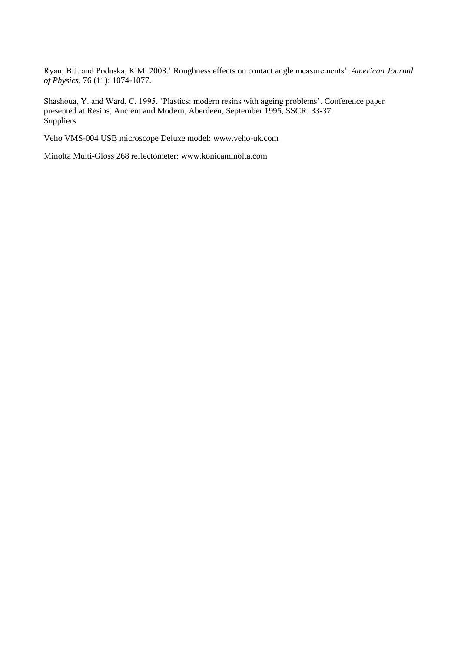Ryan, B.J. and Poduska, K.M. 2008.' Roughness effects on contact angle measurements'. *American Journal of Physics*, 76 (11): 1074-1077.

Shashoua, Y. and Ward, C. 1995. 'Plastics: modern resins with ageing problems'. Conference paper presented at Resins, Ancient and Modern, Aberdeen, September 1995, SSCR: 33-37. **Suppliers** 

Veho VMS-004 USB microscope Deluxe model: [www.veho-uk.com](http://www.veho-uk.com/)

Minolta Multi-Gloss 268 reflectometer: www.konicaminolta.com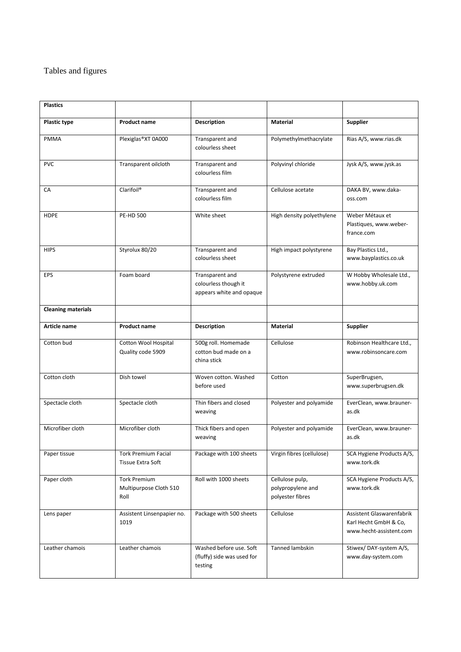# Tables and figures

| <b>Plastics</b>           |                                                       |                                                                     |                                                          |                                                                               |
|---------------------------|-------------------------------------------------------|---------------------------------------------------------------------|----------------------------------------------------------|-------------------------------------------------------------------------------|
| Plastic type              | <b>Product name</b>                                   | <b>Description</b>                                                  | Material                                                 | <b>Supplier</b>                                                               |
| PMMA                      | Plexiglas®XT 0A000                                    | Transparent and<br>colourless sheet                                 | Polymethylmethacrylate                                   | Rias A/S, www.rias.dk                                                         |
| <b>PVC</b>                | Transparent oilcloth                                  | Transparent and<br>colourless film                                  | Polyvinyl chloride                                       | Jysk A/S, www.jysk.as                                                         |
| CA                        | Clarifoil <sup>®</sup>                                | Transparent and<br>colourless film                                  | Cellulose acetate                                        | DAKA BV, www.daka-<br>oss.com                                                 |
| <b>HDPE</b>               | <b>PE-HD 500</b>                                      | White sheet                                                         | High density polyethylene                                | Weber Métaux et<br>Plastiques, www.weber-<br>france.com                       |
| <b>HIPS</b>               | Styrolux 80/20                                        | Transparent and<br>colourless sheet                                 | High impact polystyrene                                  | Bay Plastics Ltd.,<br>www.bayplastics.co.uk                                   |
| <b>EPS</b>                | Foam board                                            | Transparent and<br>colourless though it<br>appears white and opaque | Polystyrene extruded                                     | W Hobby Wholesale Ltd.,<br>www.hobby.uk.com                                   |
| <b>Cleaning materials</b> |                                                       |                                                                     |                                                          |                                                                               |
| Article name              | <b>Product name</b>                                   | <b>Description</b>                                                  | Material                                                 | <b>Supplier</b>                                                               |
| Cotton bud                | Cotton Wool Hospital<br>Quality code 5909             | 500g roll. Homemade<br>cotton bud made on a<br>china stick          | Cellulose                                                | Robinson Healthcare Ltd.,<br>www.robinsoncare.com                             |
| Cotton cloth              | Dish towel                                            | Woven cotton. Washed<br>before used                                 | Cotton                                                   | SuperBrugsen,<br>www.superbrugsen.dk                                          |
| Spectacle cloth           | Spectacle cloth                                       | Thin fibers and closed<br>weaving                                   | Polyester and polyamide                                  | EverClean, www.brauner-<br>as.dk                                              |
| Microfiber cloth          | Microfiber cloth                                      | Thick fibers and open<br>weaving                                    | Polyester and polyamide                                  | EverClean, www.brauner-<br>as.dk                                              |
| Paper tissue              | <b>Tork Premium Facial</b><br>Tissue Extra Soft       | Package with 100 sheets                                             | Virgin fibres (cellulose)                                | SCA Hygiene Products A/S,<br>www.tork.dk                                      |
| Paper cloth               | <b>Tork Premium</b><br>Multipurpose Cloth 510<br>Roll | Roll with 1000 sheets                                               | Cellulose pulp,<br>polypropylene and<br>polyester fibres | SCA Hygiene Products A/S,<br>www.tork.dk                                      |
| Lens paper                | Assistent Linsenpapier no.<br>1019                    | Package with 500 sheets                                             | Cellulose                                                | Assistent Glaswarenfabrik<br>Karl Hecht GmbH & Co,<br>www.hecht-assistent.com |
| Leather chamois           | Leather chamois                                       | Washed before use. Soft<br>(fluffy) side was used for<br>testing    | Tanned lambskin                                          | Stiwex/DAY-system A/S,<br>www.day-system.com                                  |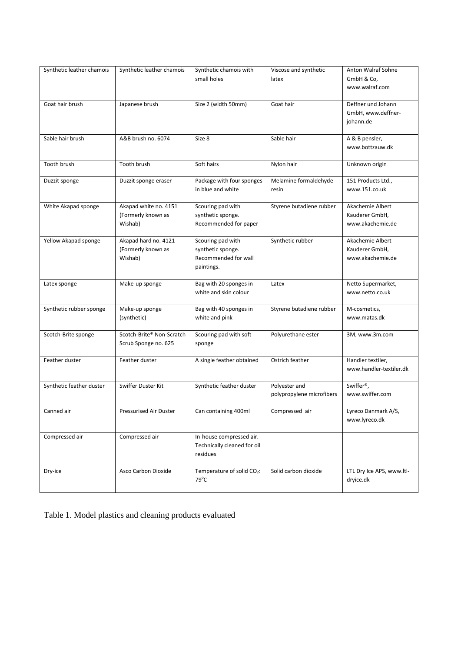| Synthetic leather chamois | Synthetic leather chamois     | Synthetic chamois with                                  | Viscose and synthetic     | Anton Walraf Söhne                 |
|---------------------------|-------------------------------|---------------------------------------------------------|---------------------------|------------------------------------|
|                           |                               | small holes                                             | latex                     | GmbH & Co,<br>www.walraf.com       |
|                           |                               |                                                         |                           |                                    |
| Goat hair brush           | Japanese brush                | Size 2 (width 50mm)                                     | Goat hair                 | Deffner und Johann                 |
|                           |                               |                                                         |                           | GmbH, www.deffner-<br>johann.de    |
|                           |                               |                                                         |                           |                                    |
| Sable hair brush          | A&B brush no. 6074            | Size 8                                                  | Sable hair                | A & B pensler,                     |
|                           |                               |                                                         |                           | www.bottzauw.dk                    |
| Tooth brush               | Tooth brush                   | Soft hairs                                              | Nylon hair                | Unknown origin                     |
| Duzzit sponge             | Duzzit sponge eraser          | Package with four sponges                               | Melamine formaldehyde     | 151 Products Ltd.,                 |
|                           |                               | in blue and white                                       | resin                     | www.151.co.uk                      |
|                           |                               |                                                         |                           |                                    |
| White Akapad sponge       | Akapad white no. 4151         | Scouring pad with                                       | Styrene butadiene rubber  | Akachemie Albert                   |
|                           | (Formerly known as<br>Wishab) | synthetic sponge.<br>Recommended for paper              |                           | Kauderer GmbH,<br>www.akachemie.de |
|                           |                               |                                                         |                           |                                    |
| Yellow Akapad sponge      | Akapad hard no. 4121          | Scouring pad with                                       | Synthetic rubber          | Akachemie Albert                   |
|                           | (Formerly known as            | synthetic sponge.                                       |                           | Kauderer GmbH,                     |
|                           | Wishab)                       | Recommended for wall                                    |                           | www.akachemie.de                   |
|                           |                               | paintings.                                              |                           |                                    |
| Latex sponge              | Make-up sponge                | Bag with 20 sponges in                                  | Latex                     | Netto Supermarket,                 |
|                           |                               | white and skin colour                                   |                           | www.netto.co.uk                    |
| Synthetic rubber sponge   | Make-up sponge                | Bag with 40 sponges in                                  | Styrene butadiene rubber  | M-cosmetics,                       |
|                           | (synthetic)                   | white and pink                                          |                           | www.matas.dk                       |
| Scotch-Brite sponge       | Scotch-Brite® Non-Scratch     | Scouring pad with soft                                  | Polyurethane ester        | 3M, www.3m.com                     |
|                           | Scrub Sponge no. 625          | sponge                                                  |                           |                                    |
|                           |                               |                                                         |                           |                                    |
| Feather duster            | Feather duster                | A single feather obtained                               | Ostrich feather           | Handler textiler,                  |
|                           |                               |                                                         |                           | www.handler-textiler.dk            |
| Synthetic feather duster  | Swiffer Duster Kit            | Synthetic feather duster                                | Polyester and             | Swiffer <sup>®</sup> ,             |
|                           |                               |                                                         | polypropylene microfibers | www.swiffer.com                    |
| Canned air                | Pressurised Air Duster        | Can containing 400ml                                    | Compressed air            | Lyreco Danmark A/S,                |
|                           |                               |                                                         |                           | www.lyreco.dk                      |
|                           |                               |                                                         |                           |                                    |
| Compressed air            | Compressed air                | In-house compressed air.<br>Technically cleaned for oil |                           |                                    |
|                           |                               | residues                                                |                           |                                    |
|                           |                               |                                                         |                           |                                    |
| Dry-ice                   | Asco Carbon Dioxide           | Temperature of solid CO <sub>2</sub> :                  | Solid carbon dioxide      | LTL Dry Ice APS, www.ltl-          |
|                           |                               | $79^{\circ}$ C                                          |                           | dryice.dk                          |

Table 1. Model plastics and cleaning products evaluated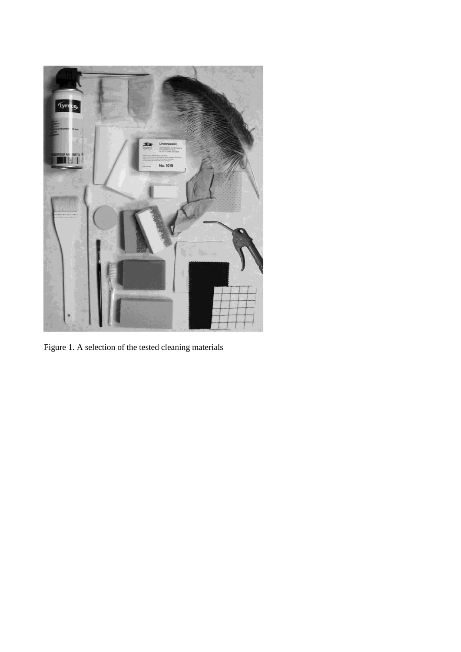

Figure 1. A selection of the tested cleaning materials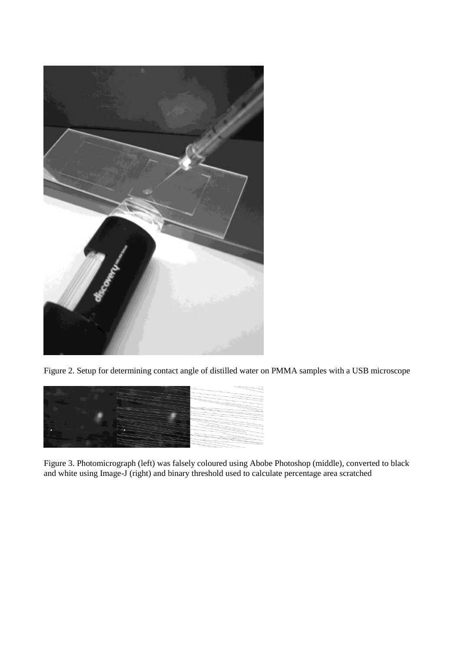

Figure 2. Setup for determining contact angle of distilled water on PMMA samples with a USB microscope



Figure 3. Photomicrograph (left) was falsely coloured using Abobe Photoshop (middle), converted to black and white using Image-J (right) and binary threshold used to calculate percentage area scratched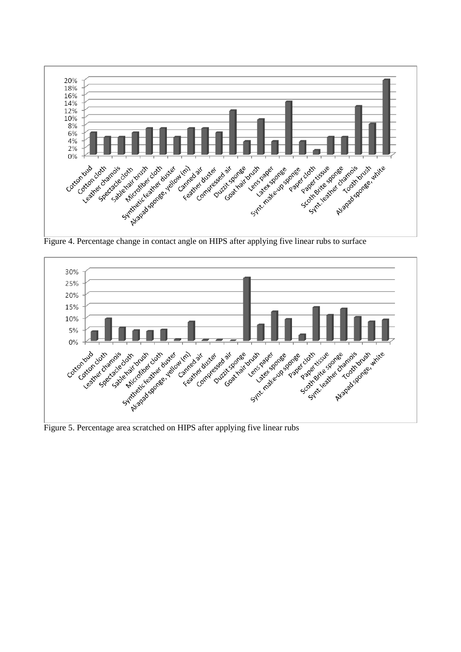

Figure 4. Percentage change in contact angle on HIPS after applying five linear rubs to surface



Figure 5. Percentage area scratched on HIPS after applying five linear rubs